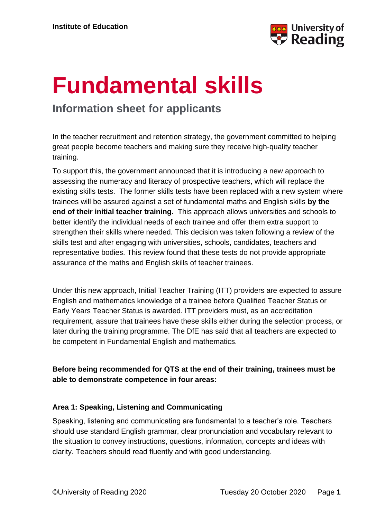

# **Fundamental skills**

## **Information sheet for applicants**

In the teacher recruitment and retention strategy, the government committed to helping great people become teachers and making sure they receive high-quality teacher training.

To support this, the government announced that it is introducing a new approach to assessing the numeracy and literacy of prospective teachers, which will replace the existing skills tests. The former skills tests have been replaced with a new system where trainees will be assured against a set of fundamental maths and English skills **by the end of their initial teacher training.** This approach allows universities and schools to better identify the individual needs of each trainee and offer them extra support to strengthen their skills where needed. This decision was taken following a review of the skills test and after engaging with universities, schools, candidates, teachers and representative bodies. This review found that these tests do not provide appropriate assurance of the maths and English skills of teacher trainees.

Under this new approach, Initial Teacher Training (ITT) providers are expected to assure English and mathematics knowledge of a trainee before Qualified Teacher Status or Early Years Teacher Status is awarded. ITT providers must, as an accreditation requirement, assure that trainees have these skills either during the selection process, or later during the training programme. The DfE has said that all teachers are expected to be competent in Fundamental English and mathematics.

### **Before being recommended for QTS at the end of their training, trainees must be able to demonstrate competence in four areas:**

#### **Area 1: Speaking, Listening and Communicating**

Speaking, listening and communicating are fundamental to a teacher's role. Teachers should use standard English grammar, clear pronunciation and vocabulary relevant to the situation to convey instructions, questions, information, concepts and ideas with clarity. Teachers should read fluently and with good understanding.